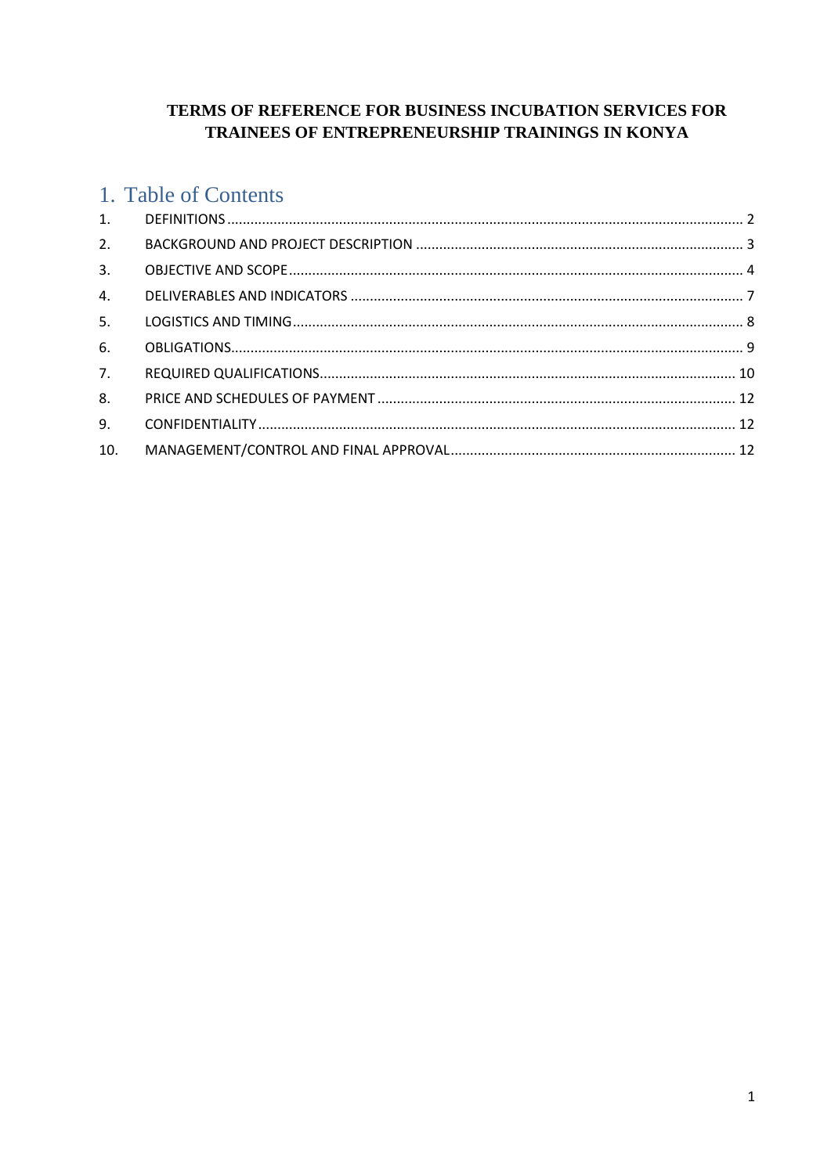# TERMS OF REFERENCE FOR BUSINESS INCUBATION SERVICES FOR TRAINEES OF ENTREPRENEURSHIP TRAININGS IN KONYA

# 1. Table of Contents

| 2.  |  |
|-----|--|
| 3.  |  |
| 4.  |  |
| 5.  |  |
| 6.  |  |
| 7.  |  |
| 8.  |  |
| 9.  |  |
| 10. |  |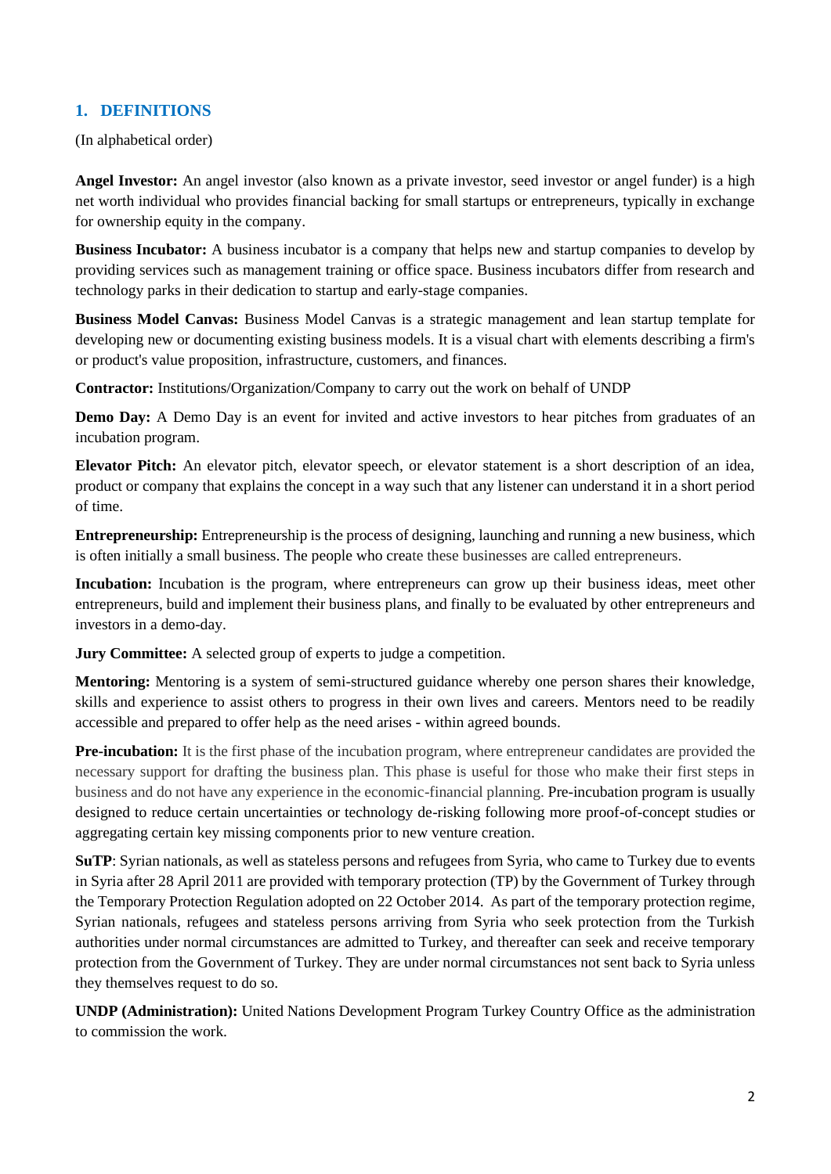# <span id="page-1-0"></span>**1. DEFINITIONS**

(In alphabetical order)

**Angel Investor:** An angel investor (also known as a private investor, seed investor or angel funder) is a high net worth individual who provides financial backing for small startups or entrepreneurs, typically in exchange for ownership equity in the company.

**Business Incubator:** A business incubator is a company that helps new and startup companies to develop by providing services such as management training or office space. Business incubators differ from research and technology parks in their dedication to startup and early-stage companies.

**Business Model Canvas:** Business Model Canvas is a strategic management and lean startup template for developing new or documenting existing business models. It is a visual chart with elements describing a firm's or product's value proposition, infrastructure, customers, and finances.

**Contractor:** Institutions/Organization/Company to carry out the work on behalf of UNDP

**Demo Day:** A Demo Day is an event for invited and active investors to hear pitches from graduates of an incubation program.

**Elevator Pitch:** An elevator pitch, elevator speech, or elevator statement is a short description of an idea, product or company that explains the concept in a way such that any listener can understand it in a short period of time.

**Entrepreneurship:** Entrepreneurship is the process of designing, launching and running a new business, which is often initially a small business. The people who create these businesses are called entrepreneurs.

**Incubation:** Incubation is the program, where entrepreneurs can grow up their business ideas, meet other entrepreneurs, build and implement their business plans, and finally to be evaluated by other entrepreneurs and investors in a demo-day.

**Jury Committee:** A selected group of experts to judge a competition.

**Mentoring:** Mentoring is a system of semi-structured guidance whereby one person shares their knowledge, skills and experience to assist others to progress in their own lives and careers. Mentors need to be readily accessible and prepared to offer help as the need arises - within agreed bounds.

**Pre-incubation:** It is the first phase of the incubation program, where entrepreneur candidates are provided the necessary support for drafting the business plan. This phase is useful for those who make their first steps in business and do not have any experience in the economic-financial planning. Pre-incubation program is usually designed to reduce certain uncertainties or technology de-risking following more proof-of-concept studies or aggregating certain key missing components prior to new venture creation.

**SuTP**: Syrian nationals, as well as stateless persons and refugees from Syria, who came to Turkey due to events in Syria after 28 April 2011 are provided with temporary protection (TP) by the Government of Turkey through the Temporary Protection Regulation adopted on 22 October 2014. As part of the temporary protection regime, Syrian nationals, refugees and stateless persons arriving from Syria who seek protection from the Turkish authorities under normal circumstances are admitted to Turkey, and thereafter can seek and receive temporary protection from the Government of Turkey. They are under normal circumstances not sent back to Syria unless they themselves request to do so.

**UNDP (Administration):** United Nations Development Program Turkey Country Office as the administration to commission the work.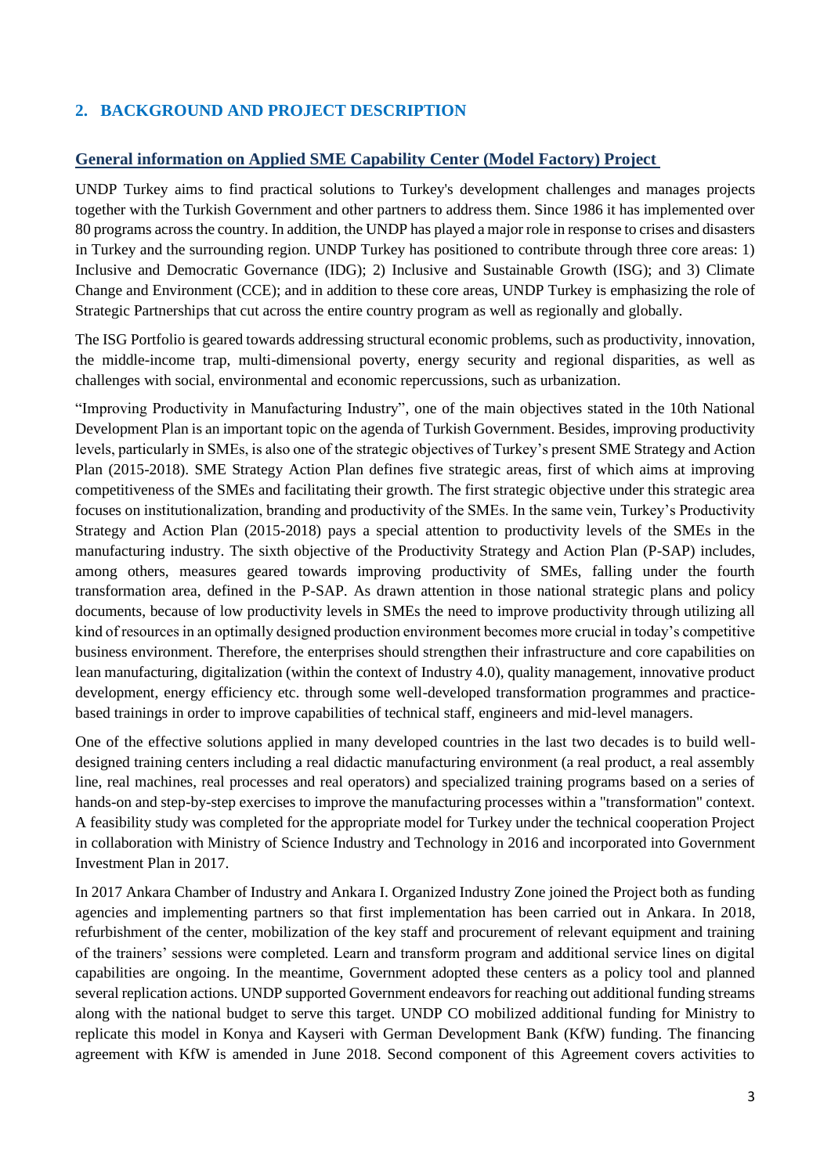# <span id="page-2-0"></span>**2. BACKGROUND AND PROJECT DESCRIPTION**

### **General information on Applied SME Capability Center (Model Factory) Project**

UNDP Turkey aims to find practical solutions to Turkey's development challenges and manages projects together with the Turkish Government and other partners to address them. Since 1986 it has implemented over 80 programs across the country. In addition, the UNDP has played a major role in response to crises and disasters in Turkey and the surrounding region. UNDP Turkey has positioned to contribute through three core areas: 1) Inclusive and Democratic Governance (IDG); 2) Inclusive and Sustainable Growth (ISG); and 3) Climate Change and Environment (CCE); and in addition to these core areas, UNDP Turkey is emphasizing the role of Strategic Partnerships that cut across the entire country program as well as regionally and globally.

The ISG Portfolio is geared towards addressing structural economic problems, such as productivity, innovation, the middle-income trap, multi-dimensional poverty, energy security and regional disparities, as well as challenges with social, environmental and economic repercussions, such as urbanization.

"Improving Productivity in Manufacturing Industry", one of the main objectives stated in the 10th National Development Plan is an important topic on the agenda of Turkish Government. Besides, improving productivity levels, particularly in SMEs, is also one of the strategic objectives of Turkey's present SME Strategy and Action Plan (2015-2018). SME Strategy Action Plan defines five strategic areas, first of which aims at improving competitiveness of the SMEs and facilitating their growth. The first strategic objective under this strategic area focuses on institutionalization, branding and productivity of the SMEs. In the same vein, Turkey's Productivity Strategy and Action Plan (2015-2018) pays a special attention to productivity levels of the SMEs in the manufacturing industry. The sixth objective of the Productivity Strategy and Action Plan (P-SAP) includes, among others, measures geared towards improving productivity of SMEs, falling under the fourth transformation area, defined in the P-SAP. As drawn attention in those national strategic plans and policy documents, because of low productivity levels in SMEs the need to improve productivity through utilizing all kind of resources in an optimally designed production environment becomes more crucial in today's competitive business environment. Therefore, the enterprises should strengthen their infrastructure and core capabilities on lean manufacturing, digitalization (within the context of Industry 4.0), quality management, innovative product development, energy efficiency etc. through some well-developed transformation programmes and practicebased trainings in order to improve capabilities of technical staff, engineers and mid-level managers.

One of the effective solutions applied in many developed countries in the last two decades is to build welldesigned training centers including a real didactic manufacturing environment (a real product, a real assembly line, real machines, real processes and real operators) and specialized training programs based on a series of hands-on and step-by-step exercises to improve the manufacturing processes within a "transformation" context. A feasibility study was completed for the appropriate model for Turkey under the technical cooperation Project in collaboration with Ministry of Science Industry and Technology in 2016 and incorporated into Government Investment Plan in 2017.

In 2017 Ankara Chamber of Industry and Ankara I. Organized Industry Zone joined the Project both as funding agencies and implementing partners so that first implementation has been carried out in Ankara. In 2018, refurbishment of the center, mobilization of the key staff and procurement of relevant equipment and training of the trainers' sessions were completed. Learn and transform program and additional service lines on digital capabilities are ongoing. In the meantime, Government adopted these centers as a policy tool and planned several replication actions. UNDP supported Government endeavors for reaching out additional funding streams along with the national budget to serve this target. UNDP CO mobilized additional funding for Ministry to replicate this model in Konya and Kayseri with German Development Bank (KfW) funding. The financing agreement with KfW is amended in June 2018. Second component of this Agreement covers activities to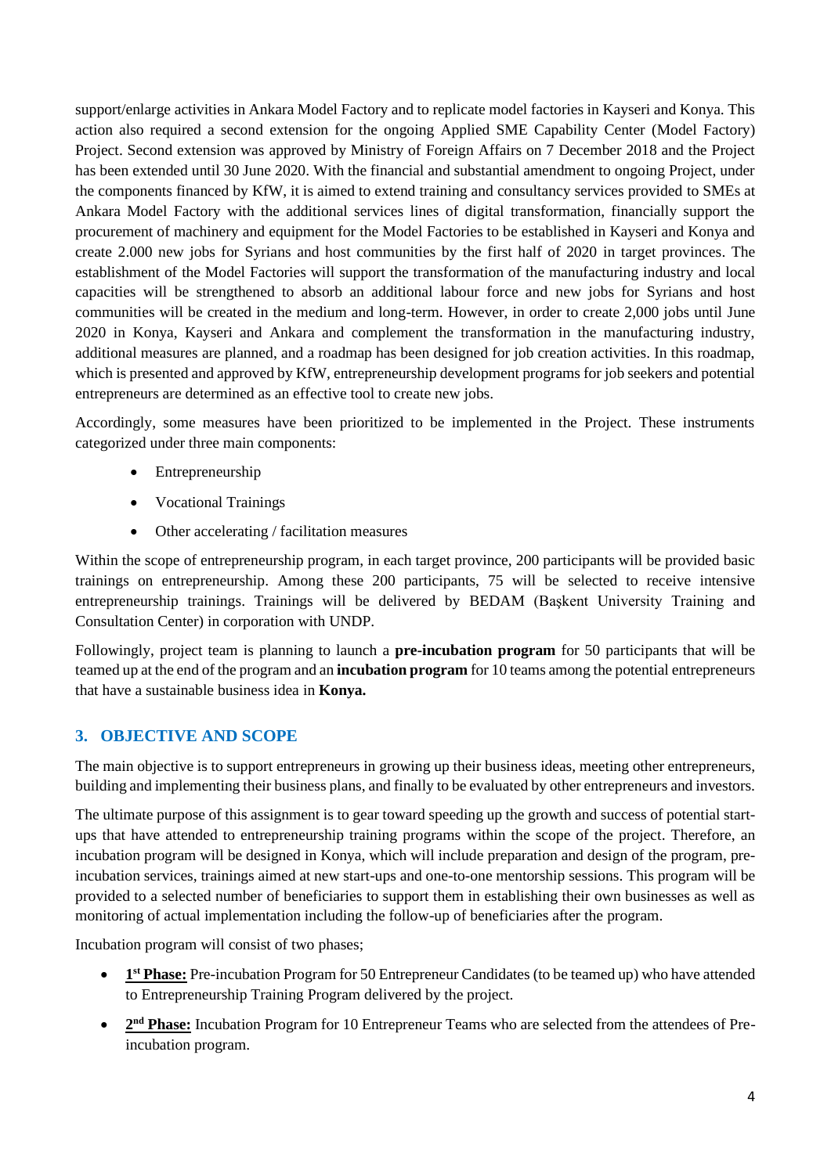support/enlarge activities in Ankara Model Factory and to replicate model factories in Kayseri and Konya. This action also required a second extension for the ongoing Applied SME Capability Center (Model Factory) Project. Second extension was approved by Ministry of Foreign Affairs on 7 December 2018 and the Project has been extended until 30 June 2020. With the financial and substantial amendment to ongoing Project, under the components financed by KfW, it is aimed to extend training and consultancy services provided to SMEs at Ankara Model Factory with the additional services lines of digital transformation, financially support the procurement of machinery and equipment for the Model Factories to be established in Kayseri and Konya and create 2.000 new jobs for Syrians and host communities by the first half of 2020 in target provinces. The establishment of the Model Factories will support the transformation of the manufacturing industry and local capacities will be strengthened to absorb an additional labour force and new jobs for Syrians and host communities will be created in the medium and long-term. However, in order to create 2,000 jobs until June 2020 in Konya, Kayseri and Ankara and complement the transformation in the manufacturing industry, additional measures are planned, and a roadmap has been designed for job creation activities. In this roadmap, which is presented and approved by KfW, entrepreneurship development programs for job seekers and potential entrepreneurs are determined as an effective tool to create new jobs.

Accordingly, some measures have been prioritized to be implemented in the Project. These instruments categorized under three main components:

- Entrepreneurship
- Vocational Trainings
- Other accelerating / facilitation measures

Within the scope of entrepreneurship program, in each target province, 200 participants will be provided basic trainings on entrepreneurship. Among these 200 participants, 75 will be selected to receive intensive entrepreneurship trainings. Trainings will be delivered by BEDAM (Başkent University Training and Consultation Center) in corporation with UNDP.

Followingly, project team is planning to launch a **pre-incubation program** for 50 participants that will be teamed up at the end of the program and an **incubation program** for 10 teams among the potential entrepreneurs that have a sustainable business idea in **Konya.**

### <span id="page-3-0"></span>**3. OBJECTIVE AND SCOPE**

The main objective is to support entrepreneurs in growing up their business ideas, meeting other entrepreneurs, building and implementing their business plans, and finally to be evaluated by other entrepreneurs and investors.

The ultimate purpose of this assignment is to gear toward speeding up the growth and success of potential startups that have attended to entrepreneurship training programs within the scope of the project. Therefore, an incubation program will be designed in Konya, which will include preparation and design of the program, preincubation services, trainings aimed at new start-ups and one-to-one mentorship sessions. This program will be provided to a selected number of beneficiaries to support them in establishing their own businesses as well as monitoring of actual implementation including the follow-up of beneficiaries after the program.

Incubation program will consist of two phases;

- **1**<sup>st</sup> **Phase:** Pre-incubation Program for 50 Entrepreneur Candidates (to be teamed up) who have attended to Entrepreneurship Training Program delivered by the project.
- 2<sup>nd</sup> Phase: Incubation Program for 10 Entrepreneur Teams who are selected from the attendees of Preincubation program.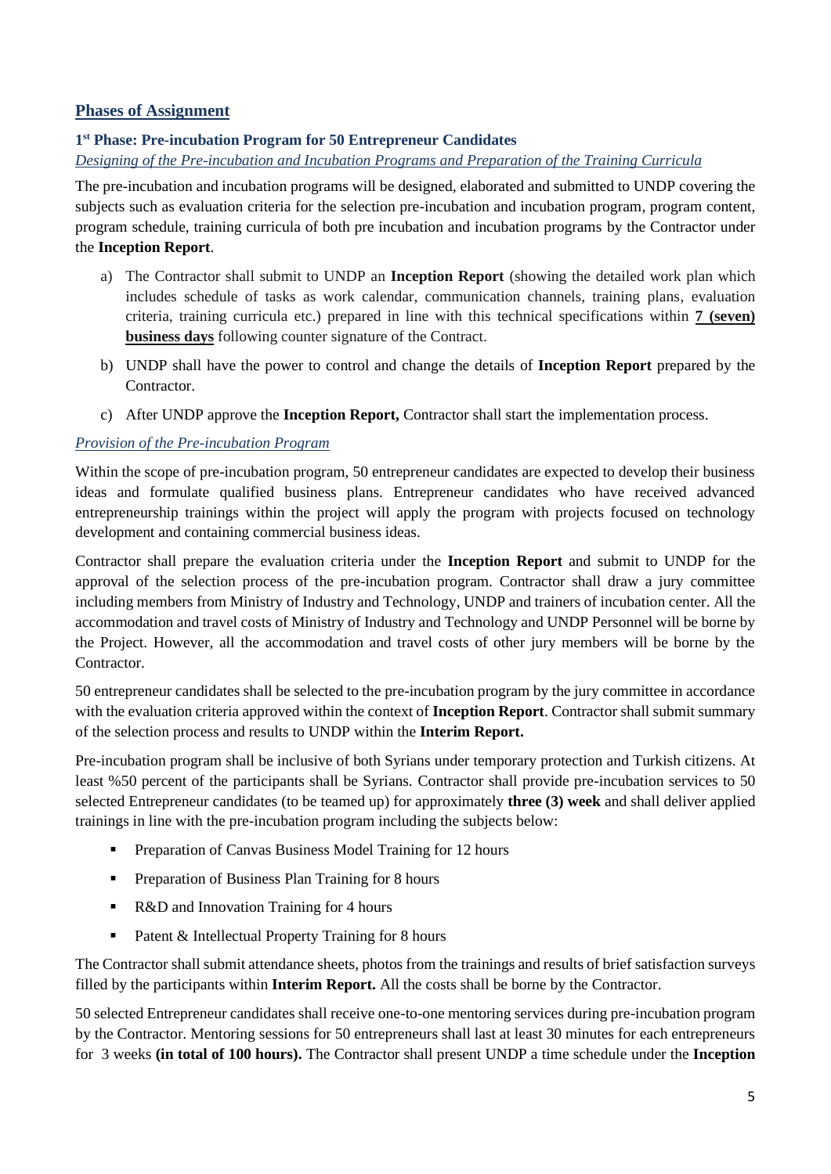### **Phases of Assignment**

### **1 st Phase: Pre-incubation Program for 50 Entrepreneur Candidates**

### *Designing of the Pre-incubation and Incubation Programs and Preparation of the Training Curricula*

The pre-incubation and incubation programs will be designed, elaborated and submitted to UNDP covering the subjects such as evaluation criteria for the selection pre-incubation and incubation program, program content, program schedule, training curricula of both pre incubation and incubation programs by the Contractor under the **Inception Report**.

- a) The Contractor shall submit to UNDP an **Inception Report** (showing the detailed work plan which includes schedule of tasks as work calendar, communication channels, training plans, evaluation criteria, training curricula etc.) prepared in line with this technical specifications within **7 (seven) business days** following counter signature of the Contract.
- b) UNDP shall have the power to control and change the details of **Inception Report** prepared by the Contractor.
- c) After UNDP approve the **Inception Report,** Contractor shall start the implementation process.

### *Provision of the Pre-incubation Program*

Within the scope of pre-incubation program, 50 entrepreneur candidates are expected to develop their business ideas and formulate qualified business plans. Entrepreneur candidates who have received advanced entrepreneurship trainings within the project will apply the program with projects focused on technology development and containing commercial business ideas.

Contractor shall prepare the evaluation criteria under the **Inception Report** and submit to UNDP for the approval of the selection process of the pre-incubation program. Contractor shall draw a jury committee including members from Ministry of Industry and Technology, UNDP and trainers of incubation center. All the accommodation and travel costs of Ministry of Industry and Technology and UNDP Personnel will be borne by the Project. However, all the accommodation and travel costs of other jury members will be borne by the Contractor.

50 entrepreneur candidates shall be selected to the pre-incubation program by the jury committee in accordance with the evaluation criteria approved within the context of **Inception Report**. Contractor shall submit summary of the selection process and results to UNDP within the **Interim Report.** 

Pre-incubation program shall be inclusive of both Syrians under temporary protection and Turkish citizens. At least %50 percent of the participants shall be Syrians. Contractor shall provide pre-incubation services to 50 selected Entrepreneur candidates (to be teamed up) for approximately **three (3) week** and shall deliver applied trainings in line with the pre-incubation program including the subjects below:

- Preparation of Canvas Business Model Training for 12 hours
- **•** Preparation of Business Plan Training for 8 hours
- R&D and Innovation Training for 4 hours
- Patent & Intellectual Property Training for 8 hours

The Contractor shall submit attendance sheets, photos from the trainings and results of brief satisfaction surveys filled by the participants within **Interim Report.** All the costs shall be borne by the Contractor.

50 selected Entrepreneur candidates shall receive one-to-one mentoring services during pre-incubation program by the Contractor. Mentoring sessions for 50 entrepreneurs shall last at least 30 minutes for each entrepreneurs for 3 weeks **(in total of 100 hours).** The Contractor shall present UNDP a time schedule under the **Inception**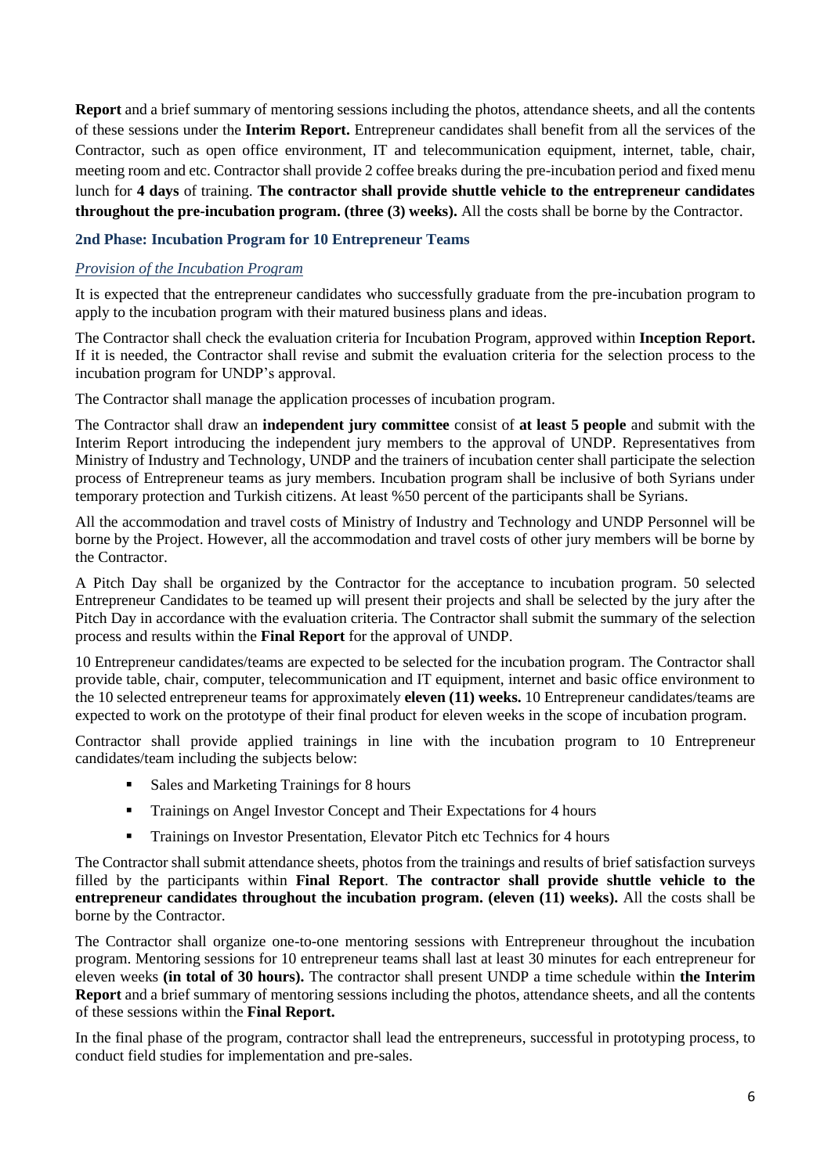**Report** and a brief summary of mentoring sessions including the photos, attendance sheets, and all the contents of these sessions under the **Interim Report.** Entrepreneur candidates shall benefit from all the services of the Contractor, such as open office environment, IT and telecommunication equipment, internet, table, chair, meeting room and etc. Contractor shall provide 2 coffee breaks during the pre-incubation period and fixed menu lunch for **4 days** of training. **The contractor shall provide shuttle vehicle to the entrepreneur candidates throughout the pre-incubation program. (three (3) weeks).** All the costs shall be borne by the Contractor.

#### **2nd Phase: Incubation Program for 10 Entrepreneur Teams**

#### *Provision of the Incubation Program*

It is expected that the entrepreneur candidates who successfully graduate from the pre-incubation program to apply to the incubation program with their matured business plans and ideas.

The Contractor shall check the evaluation criteria for Incubation Program, approved within **Inception Report.** If it is needed, the Contractor shall revise and submit the evaluation criteria for the selection process to the incubation program for UNDP's approval.

The Contractor shall manage the application processes of incubation program.

The Contractor shall draw an **independent jury committee** consist of **at least 5 people** and submit with the Interim Report introducing the independent jury members to the approval of UNDP. Representatives from Ministry of Industry and Technology, UNDP and the trainers of incubation center shall participate the selection process of Entrepreneur teams as jury members. Incubation program shall be inclusive of both Syrians under temporary protection and Turkish citizens. At least %50 percent of the participants shall be Syrians.

All the accommodation and travel costs of Ministry of Industry and Technology and UNDP Personnel will be borne by the Project. However, all the accommodation and travel costs of other jury members will be borne by the Contractor.

A Pitch Day shall be organized by the Contractor for the acceptance to incubation program. 50 selected Entrepreneur Candidates to be teamed up will present their projects and shall be selected by the jury after the Pitch Day in accordance with the evaluation criteria. The Contractor shall submit the summary of the selection process and results within the **Final Report** for the approval of UNDP.

10 Entrepreneur candidates/teams are expected to be selected for the incubation program. The Contractor shall provide table, chair, computer, telecommunication and IT equipment, internet and basic office environment to the 10 selected entrepreneur teams for approximately **eleven (11) weeks.** 10 Entrepreneur candidates/teams are expected to work on the prototype of their final product for eleven weeks in the scope of incubation program.

Contractor shall provide applied trainings in line with the incubation program to 10 Entrepreneur candidates/team including the subjects below:

- Sales and Marketing Trainings for 8 hours
- Trainings on Angel Investor Concept and Their Expectations for 4 hours
- **•** Trainings on Investor Presentation, Elevator Pitch etc Technics for 4 hours

The Contractor shall submit attendance sheets, photos from the trainings and results of brief satisfaction surveys filled by the participants within **Final Report**. **The contractor shall provide shuttle vehicle to the entrepreneur candidates throughout the incubation program. (eleven (11) weeks).** All the costs shall be borne by the Contractor.

The Contractor shall organize one-to-one mentoring sessions with Entrepreneur throughout the incubation program. Mentoring sessions for 10 entrepreneur teams shall last at least 30 minutes for each entrepreneur for eleven weeks **(in total of 30 hours).** The contractor shall present UNDP a time schedule within **the Interim Report** and a brief summary of mentoring sessions including the photos, attendance sheets, and all the contents of these sessions within the **Final Report.**

In the final phase of the program, contractor shall lead the entrepreneurs, successful in prototyping process, to conduct field studies for implementation and pre-sales.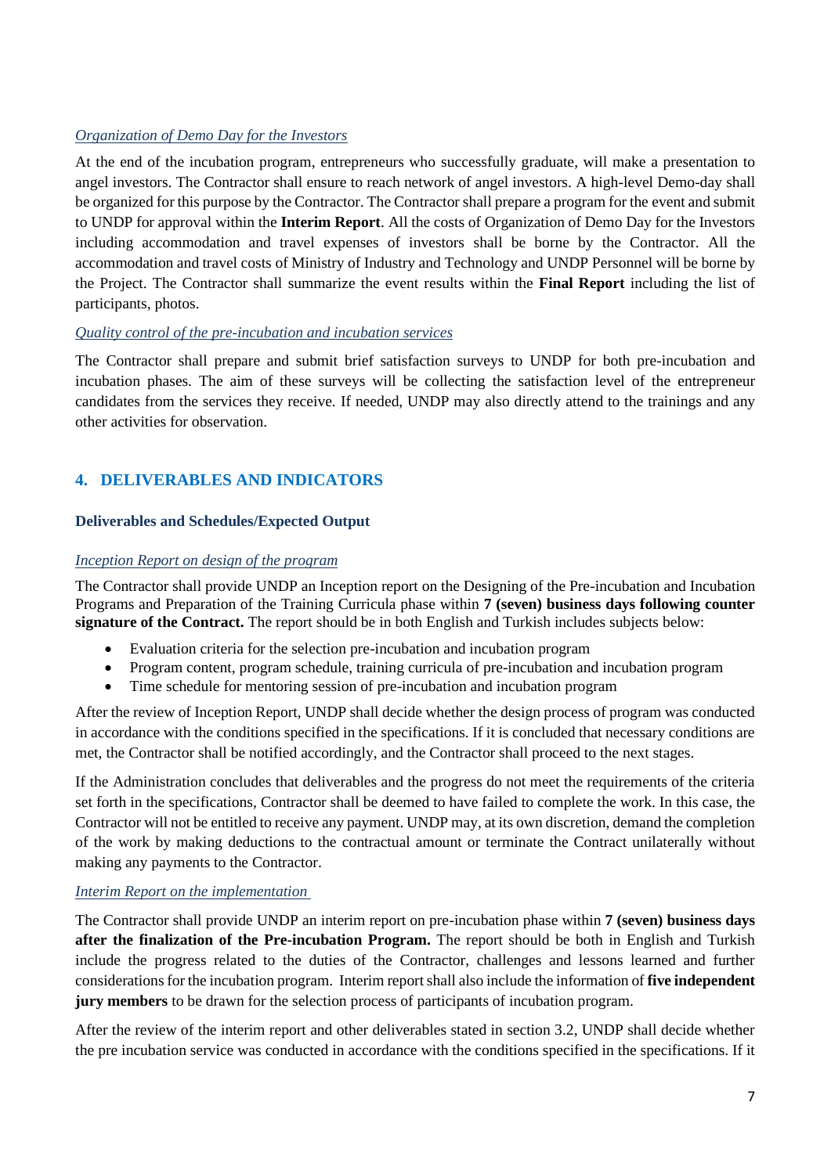### *Organization of Demo Day for the Investors*

At the end of the incubation program, entrepreneurs who successfully graduate, will make a presentation to angel investors. The Contractor shall ensure to reach network of angel investors. A high-level Demo-day shall be organized for this purpose by the Contractor. The Contractor shall prepare a program for the event and submit to UNDP for approval within the **Interim Report**. All the costs of Organization of Demo Day for the Investors including accommodation and travel expenses of investors shall be borne by the Contractor. All the accommodation and travel costs of Ministry of Industry and Technology and UNDP Personnel will be borne by the Project. The Contractor shall summarize the event results within the **Final Report** including the list of participants, photos.

#### *Quality control of the pre-incubation and incubation services*

The Contractor shall prepare and submit brief satisfaction surveys to UNDP for both pre-incubation and incubation phases. The aim of these surveys will be collecting the satisfaction level of the entrepreneur candidates from the services they receive. If needed, UNDP may also directly attend to the trainings and any other activities for observation.

# <span id="page-6-0"></span>**4. DELIVERABLES AND INDICATORS**

#### **Deliverables and Schedules/Expected Output**

#### *Inception Report on design of the program*

The Contractor shall provide UNDP an Inception report on the Designing of the Pre-incubation and Incubation Programs and Preparation of the Training Curricula phase within **7 (seven) business days following counter signature of the Contract.** The report should be in both English and Turkish includes subjects below:

- Evaluation criteria for the selection pre-incubation and incubation program
- Program content, program schedule, training curricula of pre-incubation and incubation program
- Time schedule for mentoring session of pre-incubation and incubation program

After the review of Inception Report, UNDP shall decide whether the design process of program was conducted in accordance with the conditions specified in the specifications. If it is concluded that necessary conditions are met, the Contractor shall be notified accordingly, and the Contractor shall proceed to the next stages.

If the Administration concludes that deliverables and the progress do not meet the requirements of the criteria set forth in the specifications, Contractor shall be deemed to have failed to complete the work. In this case, the Contractor will not be entitled to receive any payment. UNDP may, at its own discretion, demand the completion of the work by making deductions to the contractual amount or terminate the Contract unilaterally without making any payments to the Contractor.

#### *Interim Report on the implementation*

The Contractor shall provide UNDP an interim report on pre-incubation phase within **7 (seven) business days after the finalization of the Pre-incubation Program.** The report should be both in English and Turkish include the progress related to the duties of the Contractor, challenges and lessons learned and further considerations for the incubation program. Interim report shall also include the information of **five independent jury members** to be drawn for the selection process of participants of incubation program.

After the review of the interim report and other deliverables stated in section 3.2, UNDP shall decide whether the pre incubation service was conducted in accordance with the conditions specified in the specifications. If it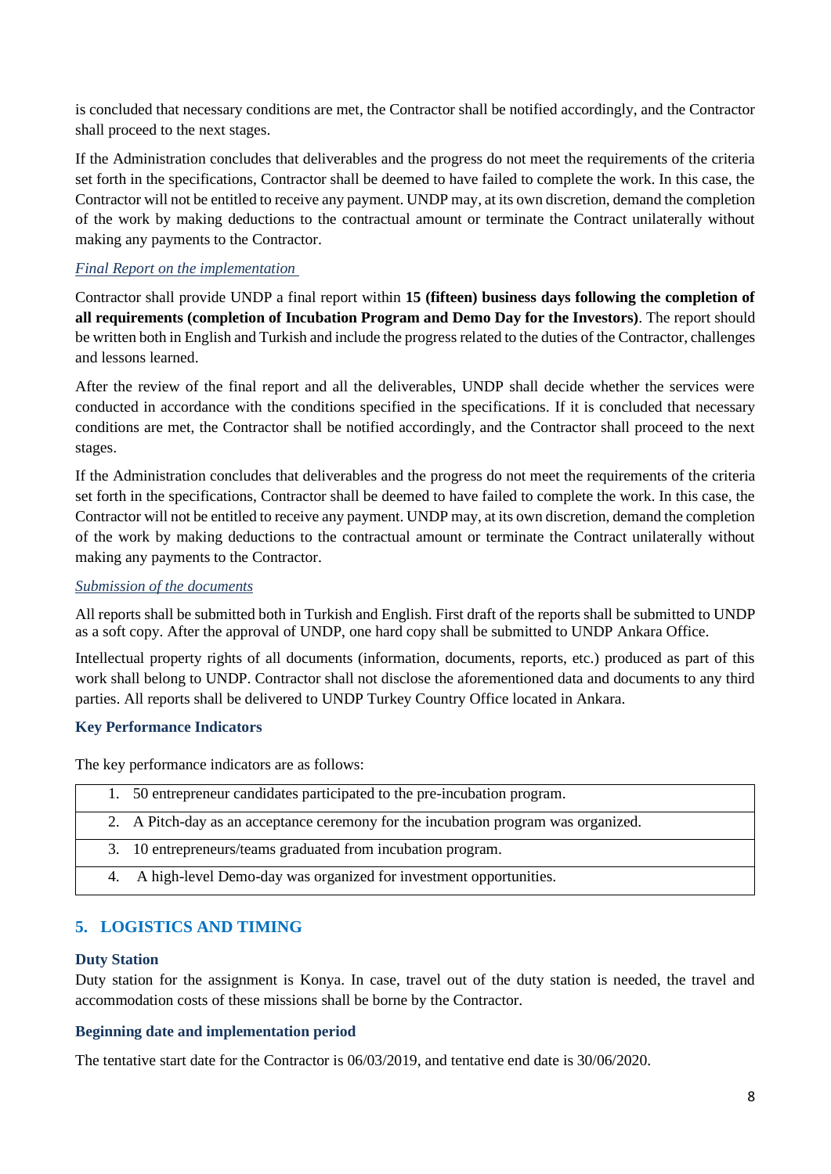is concluded that necessary conditions are met, the Contractor shall be notified accordingly, and the Contractor shall proceed to the next stages.

If the Administration concludes that deliverables and the progress do not meet the requirements of the criteria set forth in the specifications, Contractor shall be deemed to have failed to complete the work. In this case, the Contractor will not be entitled to receive any payment. UNDP may, at its own discretion, demand the completion of the work by making deductions to the contractual amount or terminate the Contract unilaterally without making any payments to the Contractor.

### *Final Report on the implementation*

Contractor shall provide UNDP a final report within **15 (fifteen) business days following the completion of all requirements (completion of Incubation Program and Demo Day for the Investors)**. The report should be written both in English and Turkish and include the progress related to the duties of the Contractor, challenges and lessons learned.

After the review of the final report and all the deliverables, UNDP shall decide whether the services were conducted in accordance with the conditions specified in the specifications. If it is concluded that necessary conditions are met, the Contractor shall be notified accordingly, and the Contractor shall proceed to the next stages.

If the Administration concludes that deliverables and the progress do not meet the requirements of the criteria set forth in the specifications, Contractor shall be deemed to have failed to complete the work. In this case, the Contractor will not be entitled to receive any payment. UNDP may, at its own discretion, demand the completion of the work by making deductions to the contractual amount or terminate the Contract unilaterally without making any payments to the Contractor.

#### *Submission of the documents*

All reports shall be submitted both in Turkish and English. First draft of the reports shall be submitted to UNDP as a soft copy. After the approval of UNDP, one hard copy shall be submitted to UNDP Ankara Office.

Intellectual property rights of all documents (information, documents, reports, etc.) produced as part of this work shall belong to UNDP. Contractor shall not disclose the aforementioned data and documents to any third parties. All reports shall be delivered to UNDP Turkey Country Office located in Ankara.

### **Key Performance Indicators**

The key performance indicators are as follows:

| 1. 50 entrepreneur candidates participated to the pre-incubation program.          |
|------------------------------------------------------------------------------------|
| 2. A Pitch-day as an acceptance ceremony for the incubation program was organized. |
| 3. 10 entrepreneurs/teams graduated from incubation program.                       |
| 4. A high-level Demo-day was organized for investment opportunities.               |

### <span id="page-7-0"></span>**5. LOGISTICS AND TIMING**

#### **Duty Station**

Duty station for the assignment is Konya. In case, travel out of the duty station is needed, the travel and accommodation costs of these missions shall be borne by the Contractor.

### **Beginning date and implementation period**

The tentative start date for the Contractor is 06/03/2019, and tentative end date is 30/06/2020.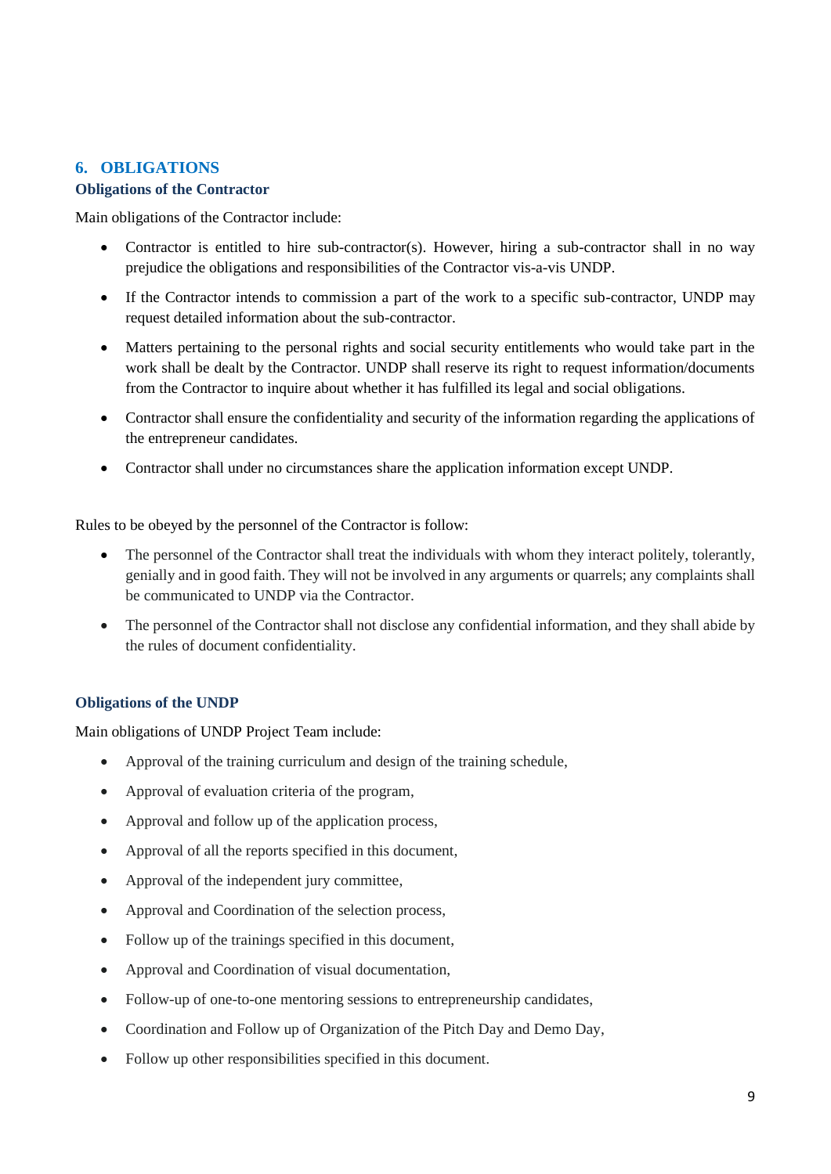### <span id="page-8-0"></span>**6. OBLIGATIONS**

#### **Obligations of the Contractor**

Main obligations of the Contractor include:

- Contractor is entitled to hire sub-contractor(s). However, hiring a sub-contractor shall in no way prejudice the obligations and responsibilities of the Contractor vis-a-vis UNDP.
- If the Contractor intends to commission a part of the work to a specific sub-contractor, UNDP may request detailed information about the sub-contractor.
- Matters pertaining to the personal rights and social security entitlements who would take part in the work shall be dealt by the Contractor. UNDP shall reserve its right to request information/documents from the Contractor to inquire about whether it has fulfilled its legal and social obligations.
- Contractor shall ensure the confidentiality and security of the information regarding the applications of the entrepreneur candidates.
- Contractor shall under no circumstances share the application information except UNDP.

Rules to be obeyed by the personnel of the Contractor is follow:

- The personnel of the Contractor shall treat the individuals with whom they interact politely, tolerantly, genially and in good faith. They will not be involved in any arguments or quarrels; any complaints shall be communicated to UNDP via the Contractor.
- The personnel of the Contractor shall not disclose any confidential information, and they shall abide by the rules of document confidentiality.

### **Obligations of the UNDP**

Main obligations of UNDP Project Team include:

- Approval of the training curriculum and design of the training schedule,
- Approval of evaluation criteria of the program,
- Approval and follow up of the application process,
- Approval of all the reports specified in this document,
- Approval of the independent jury committee,
- Approval and Coordination of the selection process,
- Follow up of the trainings specified in this document,
- Approval and Coordination of visual documentation,
- Follow-up of one-to-one mentoring sessions to entrepreneurship candidates,
- Coordination and Follow up of Organization of the Pitch Day and Demo Day,
- Follow up other responsibilities specified in this document.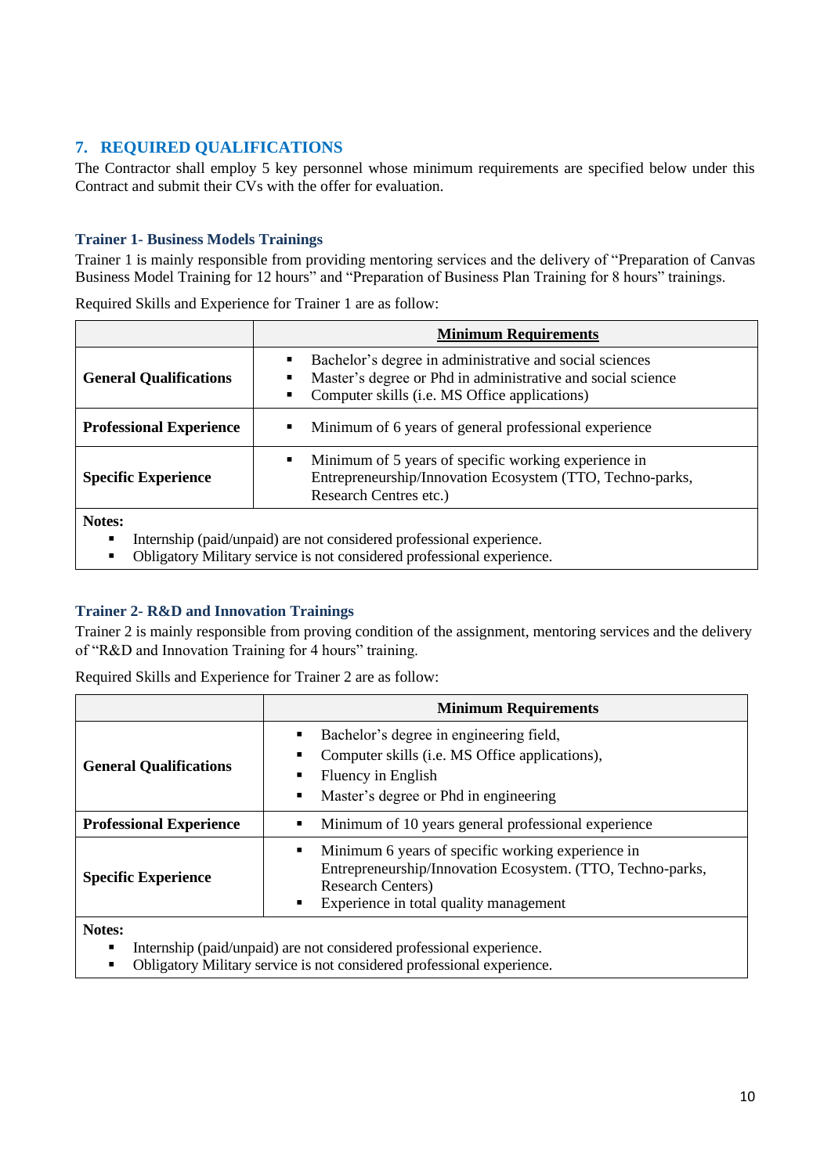# <span id="page-9-0"></span>**7. REQUIRED QUALIFICATIONS**

The Contractor shall employ 5 key personnel whose minimum requirements are specified below under this Contract and submit their CVs with the offer for evaluation.

#### **Trainer 1- Business Models Trainings**

Trainer 1 is mainly responsible from providing mentoring services and the delivery of "Preparation of Canvas Business Model Training for 12 hours" and "Preparation of Business Plan Training for 8 hours" trainings.

| <b>Minimum Requirements</b>                                                                                                                                                     |                                                                                                                                                                                                             |  |
|---------------------------------------------------------------------------------------------------------------------------------------------------------------------------------|-------------------------------------------------------------------------------------------------------------------------------------------------------------------------------------------------------------|--|
| <b>General Qualifications</b>                                                                                                                                                   | Bachelor's degree in administrative and social sciences<br>٠<br>Master's degree or Phd in administrative and social science<br>٠<br>Computer skills ( <i>i.e.</i> MS Office applications)<br>$\blacksquare$ |  |
| <b>Professional Experience</b>                                                                                                                                                  | Minimum of 6 years of general professional experience<br>٠                                                                                                                                                  |  |
| <b>Specific Experience</b>                                                                                                                                                      | Minimum of 5 years of specific working experience in<br>٠<br>Entrepreneurship/Innovation Ecosystem (TTO, Techno-parks,<br>Research Centres etc.)                                                            |  |
| Notes:<br>Internship (paid/unpaid) are not considered professional experience.<br>п<br>Obligatory Military service is not considered professional experience.<br>$\blacksquare$ |                                                                                                                                                                                                             |  |

Required Skills and Experience for Trainer 1 are as follow:

#### **Trainer 2- R&D and Innovation Trainings**

Trainer 2 is mainly responsible from proving condition of the assignment, mentoring services and the delivery of "R&D and Innovation Training for 4 hours" training.

|                                | <b>Minimum Requirements</b>                                                                                                                                                                      |  |  |
|--------------------------------|--------------------------------------------------------------------------------------------------------------------------------------------------------------------------------------------------|--|--|
| <b>General Qualifications</b>  | Bachelor's degree in engineering field,<br>Computer skills (i.e. MS Office applications),<br>Fluency in English<br>Master's degree or Phd in engineering<br>٠                                    |  |  |
| <b>Professional Experience</b> | Minimum of 10 years general professional experience                                                                                                                                              |  |  |
| <b>Specific Experience</b>     | Minimum 6 years of specific working experience in<br>٠<br>Entrepreneurship/Innovation Ecosystem. (TTO, Techno-parks,<br><b>Research Centers</b> )<br>Experience in total quality management<br>٠ |  |  |
| Notes:                         |                                                                                                                                                                                                  |  |  |

Required Skills and Experience for Trainer 2 are as follow:

Internship (paid/unpaid) are not considered professional experience.

▪ Obligatory Military service is not considered professional experience.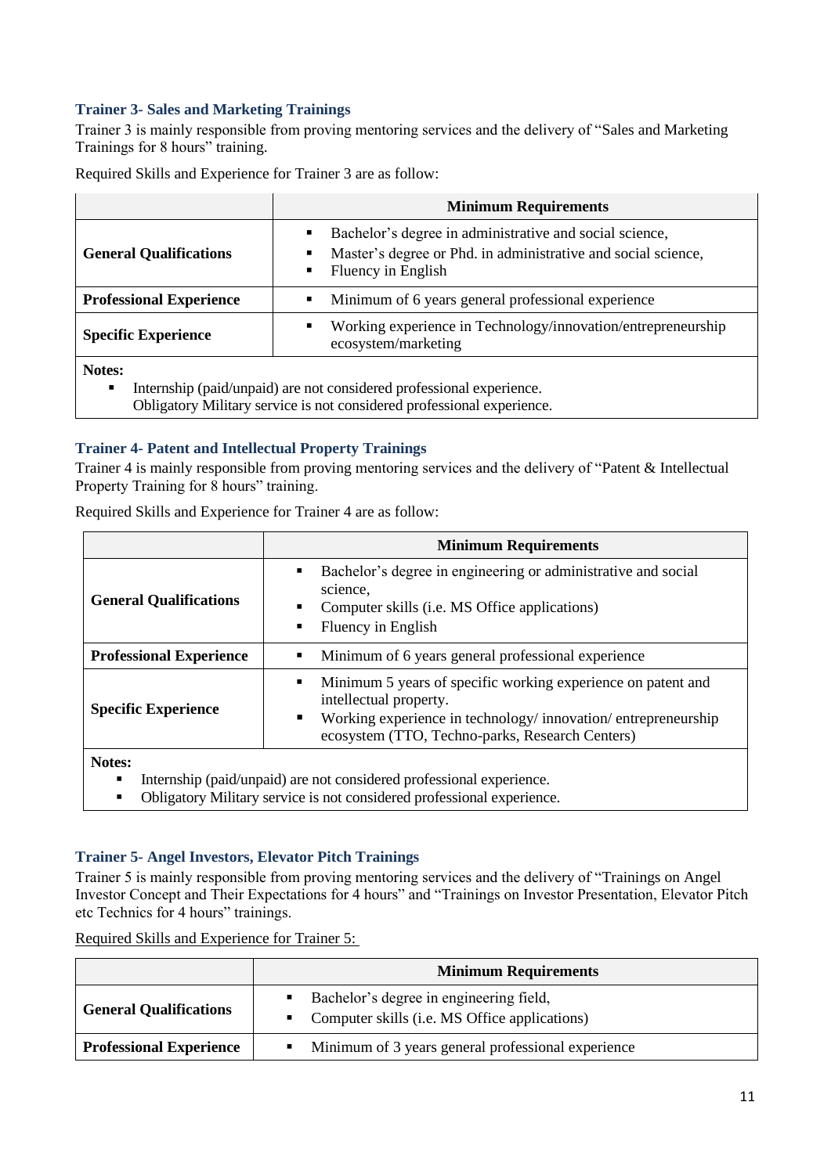### **Trainer 3- Sales and Marketing Trainings**

Trainer 3 is mainly responsible from proving mentoring services and the delivery of "Sales and Marketing Trainings for 8 hours" training.

Required Skills and Experience for Trainer 3 are as follow:

|                                | <b>Minimum Requirements</b>                                                                                                                                                             |  |
|--------------------------------|-----------------------------------------------------------------------------------------------------------------------------------------------------------------------------------------|--|
| <b>General Qualifications</b>  | Bachelor's degree in administrative and social science,<br>$\blacksquare$<br>Master's degree or Phd. in administrative and social science,<br>$\blacksquare$<br>Fluency in English<br>٠ |  |
| <b>Professional Experience</b> | Minimum of 6 years general professional experience<br>$\blacksquare$                                                                                                                    |  |
| <b>Specific Experience</b>     | Working experience in Technology/innovation/entrepreneurship<br>٠<br>ecosystem/marketing                                                                                                |  |
| Notes:<br>٠                    | Internship (paid/unpaid) are not considered professional experience.                                                                                                                    |  |

Obligatory Military service is not considered professional experience.

#### **Trainer 4- Patent and Intellectual Property Trainings**

Trainer 4 is mainly responsible from proving mentoring services and the delivery of "Patent & Intellectual Property Training for 8 hours" training.

Required Skills and Experience for Trainer 4 are as follow:

|                                | <b>Minimum Requirements</b>                                                                                                                                                                                    |  |  |
|--------------------------------|----------------------------------------------------------------------------------------------------------------------------------------------------------------------------------------------------------------|--|--|
| <b>General Qualifications</b>  | Bachelor's degree in engineering or administrative and social<br>п<br>science,<br>Computer skills (i.e. MS Office applications)<br>$\blacksquare$<br>Fluency in English<br>п                                   |  |  |
| <b>Professional Experience</b> | Minimum of 6 years general professional experience                                                                                                                                                             |  |  |
| <b>Specific Experience</b>     | Minimum 5 years of specific working experience on patent and<br>п<br>intellectual property.<br>Working experience in technology/innovation/entrepreneurship<br>ecosystem (TTO, Techno-parks, Research Centers) |  |  |
| $\blacksquare$                 |                                                                                                                                                                                                                |  |  |

**Notes:**

- Internship (paid/unpaid) are not considered professional experience.
- Obligatory Military service is not considered professional experience.

#### **Trainer 5- Angel Investors, Elevator Pitch Trainings**

Trainer 5 is mainly responsible from proving mentoring services and the delivery of "Trainings on Angel Investor Concept and Their Expectations for 4 hours" and "Trainings on Investor Presentation, Elevator Pitch etc Technics for 4 hours" trainings.

Required Skills and Experience for Trainer 5:

|                                | <b>Minimum Requirements</b>                                                                  |  |
|--------------------------------|----------------------------------------------------------------------------------------------|--|
| <b>General Qualifications</b>  | • Bachelor's degree in engineering field,<br>• Computer skills (i.e. MS Office applications) |  |
| <b>Professional Experience</b> | • Minimum of 3 years general professional experience                                         |  |